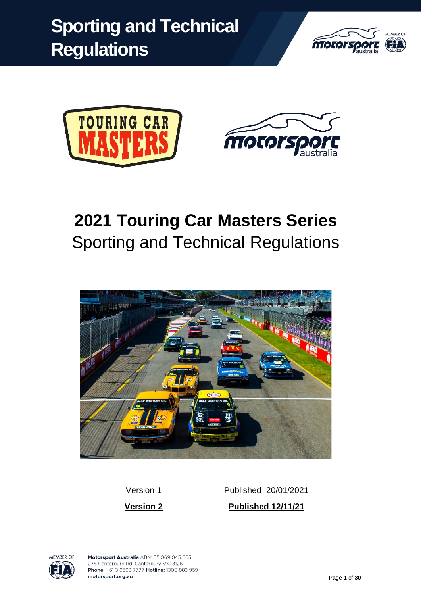





# **2021 Touring Car Masters Series** Sporting and Technical Regulations



| Version 1        | Published 20/01/2021      |  |
|------------------|---------------------------|--|
| <b>Version 2</b> | <b>Published 12/11/21</b> |  |

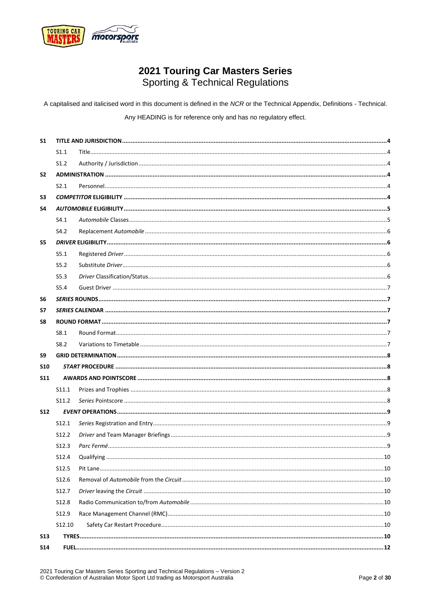

## 2021 Touring Car Masters Series **Sporting & Technical Regulations**

A capitalised and italicised word in this document is defined in the NCR or the Technical Appendix, Definitions - Technical. Any HEADING is for reference only and has no regulatory effect.

| S <sub>1</sub> |        |  |
|----------------|--------|--|
|                | S1.1   |  |
|                | S1.2   |  |
| S <sub>2</sub> |        |  |
|                | S2.1   |  |
| S3             |        |  |
| S4             |        |  |
|                | S4.1   |  |
|                | S4.2   |  |
| S5             |        |  |
|                | S5.1   |  |
|                | S5.2   |  |
|                | S5.3   |  |
|                | S5.4   |  |
| S <sub>6</sub> |        |  |
| S7             |        |  |
| S8             |        |  |
|                | S8.1   |  |
|                | S8.2   |  |
| S9             |        |  |
| <b>S10</b>     |        |  |
| <b>S11</b>     |        |  |
|                | S11.1  |  |
|                | S11.2  |  |
| <b>S12</b>     |        |  |
|                | S12.1  |  |
|                | S12.2  |  |
|                | S12.3  |  |
|                | S12.4  |  |
|                | S12.5  |  |
|                | S12.6  |  |
|                | S12.7  |  |
|                | S12.8  |  |
|                | S12.9  |  |
|                | S12.10 |  |
| <b>S13</b>     |        |  |
| <b>S14</b>     |        |  |
|                |        |  |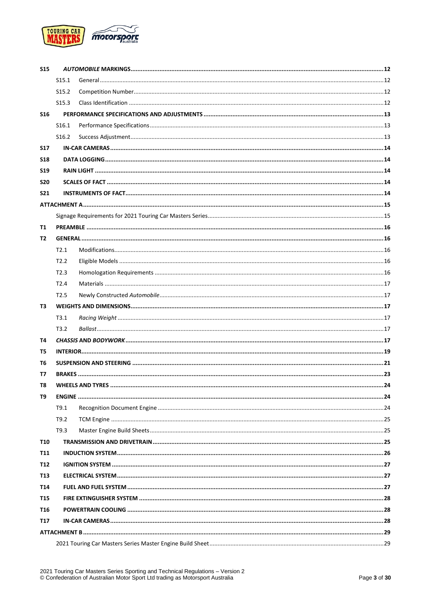

| <b>S15</b> |                   |  |  |  |  |
|------------|-------------------|--|--|--|--|
|            | S <sub>15.1</sub> |  |  |  |  |
|            | S <sub>15.2</sub> |  |  |  |  |
|            | S <sub>15.3</sub> |  |  |  |  |
| <b>S16</b> |                   |  |  |  |  |
|            | S16.1             |  |  |  |  |
|            | S <sub>16.2</sub> |  |  |  |  |
| <b>S17</b> |                   |  |  |  |  |
| <b>S18</b> |                   |  |  |  |  |
| <b>S19</b> |                   |  |  |  |  |
| <b>S20</b> |                   |  |  |  |  |
| <b>S21</b> |                   |  |  |  |  |
|            |                   |  |  |  |  |
|            |                   |  |  |  |  |
| T1         |                   |  |  |  |  |
| T2         |                   |  |  |  |  |
|            | T2.1              |  |  |  |  |
|            | T2.2              |  |  |  |  |
|            | T2.3              |  |  |  |  |
|            | T2.4              |  |  |  |  |
|            | T2.5              |  |  |  |  |
| Т3         |                   |  |  |  |  |
|            | T3.1              |  |  |  |  |
|            | T3.2              |  |  |  |  |
| Т4         |                   |  |  |  |  |
| T5         |                   |  |  |  |  |
| Т6         |                   |  |  |  |  |
| Т7         |                   |  |  |  |  |
| T8         |                   |  |  |  |  |
| T9         |                   |  |  |  |  |
|            | T9.1              |  |  |  |  |
|            | T9.2              |  |  |  |  |
|            | T9.3              |  |  |  |  |
| <b>T10</b> |                   |  |  |  |  |
| <b>T11</b> |                   |  |  |  |  |
| <b>T12</b> |                   |  |  |  |  |
| <b>T13</b> |                   |  |  |  |  |
| <b>T14</b> |                   |  |  |  |  |
| <b>T15</b> |                   |  |  |  |  |
| T16        |                   |  |  |  |  |
| <b>T17</b> |                   |  |  |  |  |
|            |                   |  |  |  |  |
|            |                   |  |  |  |  |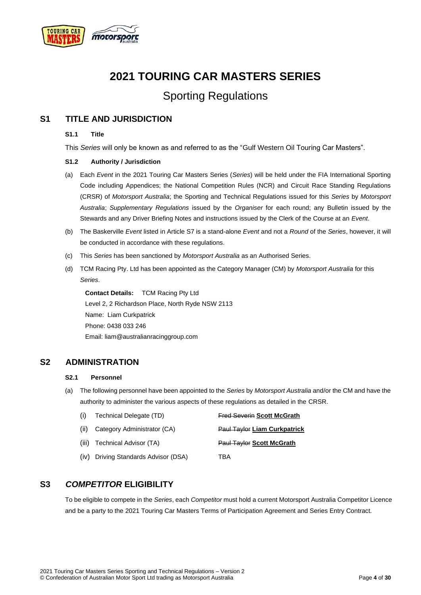

## **2021 TOURING CAR MASTERS SERIES**

## Sporting Regulations

### <span id="page-3-1"></span><span id="page-3-0"></span>**S1 TITLE AND JURISDICTION**

#### **S1.1 Title**

This *Series* will only be known as and referred to as the "Gulf Western Oil Touring Car Masters".

#### <span id="page-3-2"></span>**S1.2 Authority / Jurisdiction**

- (a) Each *Event* in the 2021 Touring Car Masters Series (*Series*) will be held under the FIA International Sporting Code including Appendices; the National Competition Rules (NCR) and Circuit Race Standing Regulations (CRSR) of *Motorsport Australia*; the Sporting and Technical Regulations issued for this *Series* by *Motorsport Australia*; *Supplementary Regulations* issued by the *Organiser* for each round; any Bulletin issued by the Stewards and any Driver Briefing Notes and instructions issued by the Clerk of the Course at an *Event*.
- (b) The Baskerville *Event* listed in Article S7 is a stand-alone *Event* and not a *Round* of the *Series*, however, it will be conducted in accordance with these regulations.
- (c) This *Series* has been sanctioned by *Motorsport Australia* as an Authorised Series.
- (d) TCM Racing Pty. Ltd has been appointed as the Category Manager (CM) by *Motorsport Australia* for this *Series*.

**Contact Details:** TCM Racing Pty Ltd Level 2, 2 Richardson Place, North Ryde NSW 2113 Name: Liam Curkpatrick Phone: 0438 033 246 Email: liam@australianracinggroup.com

#### <span id="page-3-4"></span><span id="page-3-3"></span>**S2 ADMINISTRATION**

#### **S2.1 Personnel**

(a) The following personnel have been appointed to the *Series* by *Motorsport Australia* and/or the CM and have the authority to administer the various aspects of these regulations as detailed in the CRSR.

| (i)  | Technical Delegate (TD)              | <b>Fred Severin Scott McGrath</b>   |
|------|--------------------------------------|-------------------------------------|
| (ii) | Category Administrator (CA)          | <b>Paul Taylor Liam Curkpatrick</b> |
|      | (iii) Technical Advisor (TA)         | <b>Paul Taylor Scott McGrath</b>    |
|      | (iv) Driving Standards Advisor (DSA) | TBA                                 |

### <span id="page-3-5"></span>**S3** *COMPETITOR* **ELIGIBILITY**

To be eligible to compete in the *Series*, each *Competitor* must hold a current Motorsport Australia Competitor Licence and be a party to the 2021 Touring Car Masters Terms of Participation Agreement and Series Entry Contract.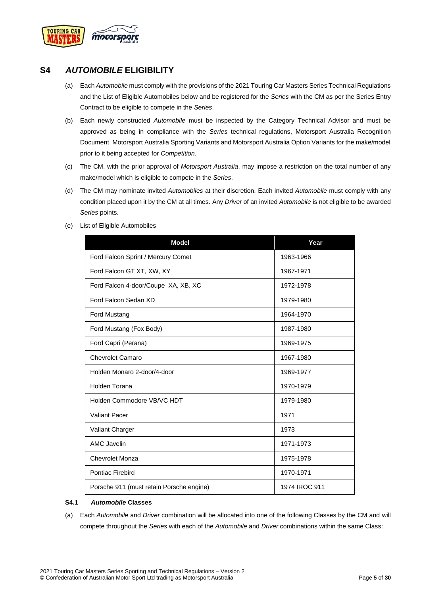

### <span id="page-4-0"></span>**S4** *AUTOMOBILE* **ELIGIBILITY**

- (a) Each *Automobile* must comply with the provisions of the 2021 Touring Car Masters Series Technical Regulations and the List of Eligible Automobiles below and be registered for the *Series* with the CM as per the Series Entry Contract to be eligible to compete in the *Series*.
- (b) Each newly constructed *Automobile* must be inspected by the Category Technical Advisor and must be approved as being in compliance with the *Series* technical regulations, Motorsport Australia Recognition Document, Motorsport Australia Sporting Variants and Motorsport Australia Option Variants for the make/model prior to it being accepted for *Competition.*
- (c) The CM, with the prior approval of *Motorsport Australia*, may impose a restriction on the total number of any make/model which is eligible to compete in the *Series*.
- (d) The CM may nominate invited *Automobiles* at their discretion. Each invited *Automobile* must comply with any condition placed upon it by the CM at all times. Any *Driver* of an invited *Automobile* is not eligible to be awarded *Series* points.
- (e) List of Eligible Automobiles

| <b>Model</b>                             | Year          |
|------------------------------------------|---------------|
| Ford Falcon Sprint / Mercury Comet       | 1963-1966     |
| Ford Falcon GT XT, XW, XY                | 1967-1971     |
| Ford Falcon 4-door/Coupe XA, XB, XC      | 1972-1978     |
| Ford Falcon Sedan XD                     | 1979-1980     |
| Ford Mustang                             | 1964-1970     |
| Ford Mustang (Fox Body)                  | 1987-1980     |
| Ford Capri (Perana)                      | 1969-1975     |
| <b>Chevrolet Camaro</b>                  | 1967-1980     |
| Holden Monaro 2-door/4-door              | 1969-1977     |
| Holden Torana                            | 1970-1979     |
| Holden Commodore VB/VC HDT               | 1979-1980     |
| <b>Valiant Pacer</b>                     | 1971          |
| Valiant Charger                          | 1973          |
| <b>AMC Javelin</b>                       | 1971-1973     |
| <b>Chevrolet Monza</b>                   | 1975-1978     |
| Pontiac Firebird                         | 1970-1971     |
| Porsche 911 (must retain Porsche engine) | 1974 IROC 911 |

#### <span id="page-4-1"></span>**S4.1** *Automobile* **Classes**

(a) Each *Automobile* and *Driver* combination will be allocated into one of the following Classes by the CM and will compete throughout the *Series* with each of the *Automobile* and *Driver* combinations within the same Class: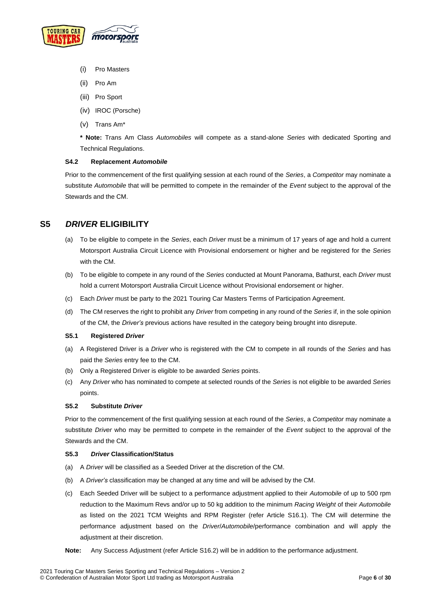

- (i) Pro Masters
- (ii) Pro Am
- (iii) Pro Sport
- (iv) IROC (Porsche)
- (v) Trans Am\*

**\* Note:** Trans Am Class *Automobiles* will compete as a stand-alone *Series* with dedicated Sporting and Technical Regulations.

#### <span id="page-5-0"></span>**S4.2 Replacement** *Automobile*

Prior to the commencement of the first qualifying session at each round of the *Series*, a *Competitor* may nominate a substitute *Automobile* that will be permitted to compete in the remainder of the *Event* subject to the approval of the Stewards and the CM.

### <span id="page-5-1"></span>**S5** *DRIVER* **ELIGIBILITY**

- (a) To be eligible to compete in the *Series*, each *Driver* must be a minimum of 17 years of age and hold a current Motorsport Australia Circuit Licence with Provisional endorsement or higher and be registered for the *Series* with the CM.
- (b) To be eligible to compete in any round of the *Series* conducted at Mount Panorama, Bathurst, each *Driver* must hold a current Motorsport Australia Circuit Licence without Provisional endorsement or higher.
- (c) Each *Driver* must be party to the 2021 Touring Car Masters Terms of Participation Agreement.
- (d) The CM reserves the right to prohibit any *Driver* from competing in any round of the *Series* if, in the sole opinion of the CM, the *Driver's* previous actions have resulted in the category being brought into disrepute.

#### <span id="page-5-2"></span>**S5.1 Registered** *Driver*

- (a) A Registered Driver is a *Driver* who is registered with the CM to compete in all rounds of the *Series* and has paid the *Series* entry fee to the CM.
- (b) Only a Registered Driver is eligible to be awarded *Series* points.
- (c) Any *Driver* who has nominated to compete at selected rounds of the *Series* is not eligible to be awarded *Series* points.

#### <span id="page-5-3"></span>**S5.2 Substitute** *Driver*

Prior to the commencement of the first qualifying session at each round of the *Series*, a *Competitor* may nominate a substitute *Driver* who may be permitted to compete in the remainder of the *Event* subject to the approval of the Stewards and the CM.

#### <span id="page-5-4"></span>**S5.3** *Driver* **Classification/Status**

- (a) A *Driver* will be classified as a Seeded Driver at the discretion of the CM.
- (b) A *Driver's* classification may be changed at any time and will be advised by the CM.
- (c) Each Seeded Driver will be subject to a performance adjustment applied to their *Automobile* of up to 500 rpm reduction to the Maximum Revs and/or up to 50 kg addition to the minimum *Racing Weight* of their *Automobile* as listed on the 2021 TCM Weights and RPM Register (refer Article S16.1). The CM will determine the performance adjustment based on the *Driver*/*Automobile*/performance combination and will apply the adjustment at their discretion.
- **Note:** Any Success Adjustment (refer Article S16.2) will be in addition to the performance adjustment.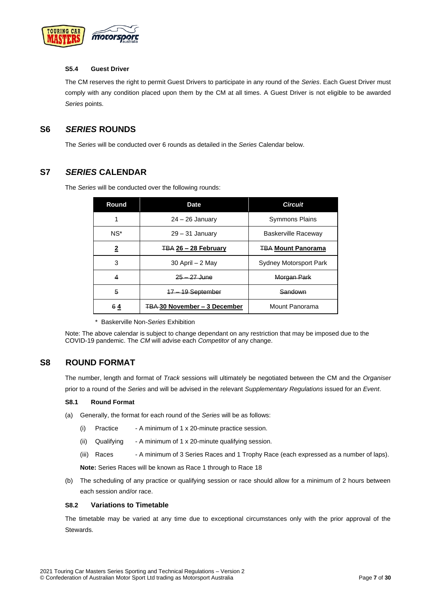

#### <span id="page-6-0"></span>**S5.4 Guest Driver**

The CM reserves the right to permit Guest Drivers to participate in any round of the *Series*. Each Guest Driver must comply with any condition placed upon them by the CM at all times. A Guest Driver is not eligible to be awarded *Series* points.

### <span id="page-6-1"></span>**S6** *SERIES* **ROUNDS**

The *Series* will be conducted over 6 rounds as detailed in the *Series* Calendar below.

### <span id="page-6-2"></span>**S7** *SERIES* **CALENDAR**

The *Series* will be conducted over the following rounds:

| Round    | <b>Date</b>                         | <b>Circuit</b>                |
|----------|-------------------------------------|-------------------------------|
| 1        | $24 - 26$ January                   | <b>Symmons Plains</b>         |
| $NS^*$   | $29 - 31$ January                   | Baskerville Raceway           |
| <u>2</u> | <b>TBA 26 - 28 February</b>         | <b>TBA Mount Panorama</b>     |
| 3        | 30 April $-2$ May                   | <b>Sydney Motorsport Park</b> |
| 4        | 25 – 27 June                        | Morgan Park                   |
| 5        | 47<br><u> 19 September</u>          | Sandown                       |
| 64       | <b>TBA 30 November - 3 December</b> | Mount Panorama                |

\* Baskerville Non-*Series* Exhibition

Note: The above calendar is subject to change dependant on any restriction that may be imposed due to the COVID-19 pandemic. The *CM* will advise each *Competitor* of any change.

### <span id="page-6-3"></span>**S8 ROUND FORMAT**

The number, length and format of *Track* sessions will ultimately be negotiated between the CM and the *Organiser* prior to a round of the *Series* and will be advised in the relevant *Supplementary Regulations* issued for an *Event*.

#### <span id="page-6-4"></span>**S8.1 Round Format**

- (a) Generally, the format for each round of the *Series* will be as follows:
	- (i) Practice A minimum of 1 x 20-minute practice session.
	- (ii) Qualifying  $A$  minimum of 1 x 20-minute qualifying session.
	- (iii) Races A minimum of 3 Series Races and 1 Trophy Race (each expressed as a number of laps).

**Note:** Series Races will be known as Race 1 through to Race 18

(b) The scheduling of any practice or qualifying session or race should allow for a minimum of 2 hours between each session and/or race.

#### <span id="page-6-5"></span>**S8.2 Variations to Timetable**

The timetable may be varied at any time due to exceptional circumstances only with the prior approval of the Stewards.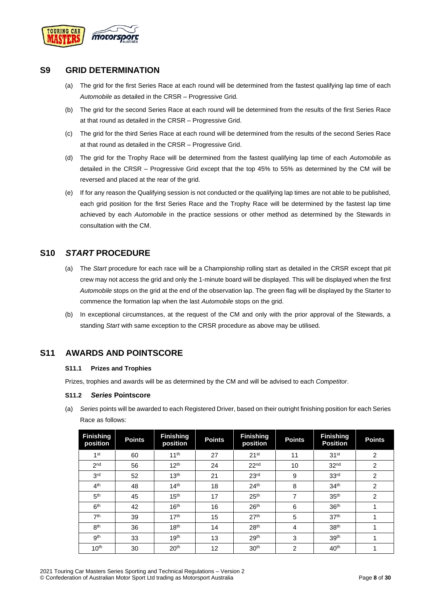

### <span id="page-7-0"></span>**S9 GRID DETERMINATION**

- (a) The grid for the first Series Race at each round will be determined from the fastest qualifying lap time of each *Automobile* as detailed in the CRSR – Progressive Grid.
- (b) The grid for the second Series Race at each round will be determined from the results of the first Series Race at that round as detailed in the CRSR – Progressive Grid.
- (c) The grid for the third Series Race at each round will be determined from the results of the second Series Race at that round as detailed in the CRSR – Progressive Grid.
- (d) The grid for the Trophy Race will be determined from the fastest qualifying lap time of each *Automobile* as detailed in the CRSR – Progressive Grid except that the top 45% to 55% as determined by the CM will be reversed and placed at the rear of the grid.
- (e) If for any reason the Qualifying session is not conducted or the qualifying lap times are not able to be published, each grid position for the first Series Race and the Trophy Race will be determined by the fastest lap time achieved by each *Automobile* in the practice sessions or other method as determined by the Stewards in consultation with the CM.

### <span id="page-7-1"></span>**S10** *START* **PROCEDURE**

- (a) The *Start* procedure for each race will be a Championship rolling start as detailed in the CRSR except that pit crew may not access the grid and only the 1-minute board will be displayed. This will be displayed when the first *Automobile* stops on the grid at the end of the observation lap. The green flag will be displayed by the Starter to commence the formation lap when the last *Automobile* stops on the grid.
- (b) In exceptional circumstances, at the request of the CM and only with the prior approval of the Stewards, a standing *Start* with same exception to the CRSR procedure as above may be utilised.

### <span id="page-7-3"></span><span id="page-7-2"></span>**S11 AWARDS AND POINTSCORE**

#### **S11.1 Prizes and Trophies**

Prizes, trophies and awards will be as determined by the CM and will be advised to each *Competitor*.

#### <span id="page-7-4"></span>**S11.2** *Series* **Pointscore**

(a) *Series* points will be awarded to each Registered Driver, based on their outright finishing position for each Series Race as follows:

| <b>Finishing</b><br>position | <b>Points</b> | <b>Finishing</b><br>position | <b>Points</b> | <b>Finishing</b><br>position | <b>Points</b> | <b>Finishing</b><br><b>Position</b> | <b>Points</b>  |
|------------------------------|---------------|------------------------------|---------------|------------------------------|---------------|-------------------------------------|----------------|
| 1 <sup>st</sup>              | 60            | 11 <sup>th</sup>             | 27            | 21 <sup>st</sup>             | 11            | 31 <sup>st</sup>                    | 2              |
| 2 <sub>nd</sub>              | 56            | 12 <sup>th</sup>             | 24            | 22 <sup>nd</sup>             | 10            | 32 <sup>nd</sup>                    | $\overline{2}$ |
| 3 <sup>rd</sup>              | 52            | 13 <sup>th</sup>             | 21            | 23 <sup>rd</sup>             | 9             | 33 <sup>rd</sup>                    | 2              |
| 4 <sup>th</sup>              | 48            | 14 <sup>th</sup>             | 18            | 24 <sup>th</sup>             | 8             | 34 <sup>th</sup>                    | $\overline{2}$ |
| 5 <sup>th</sup>              | 45            | 15 <sup>th</sup>             | 17            | 25 <sup>th</sup>             | 7             | 35 <sup>th</sup>                    | $\overline{2}$ |
| 6 <sup>th</sup>              | 42            | 16 <sup>th</sup>             | 16            | 26 <sup>th</sup>             | 6             | 36 <sup>th</sup>                    | ۸              |
| 7 <sup>th</sup>              | 39            | 17 <sup>th</sup>             | 15            | 27 <sup>th</sup>             | 5             | 37 <sup>th</sup>                    |                |
| 8 <sup>th</sup>              | 36            | 18 <sup>th</sup>             | 14            | 28 <sup>th</sup>             | 4             | 38 <sup>th</sup>                    |                |
| gth                          | 33            | 19 <sup>th</sup>             | 13            | 29 <sup>th</sup>             | 3             | 39 <sup>th</sup>                    |                |
| 10 <sup>th</sup>             | 30            | 20 <sup>th</sup>             | 12            | 30 <sup>th</sup>             | 2             | 40 <sup>th</sup>                    |                |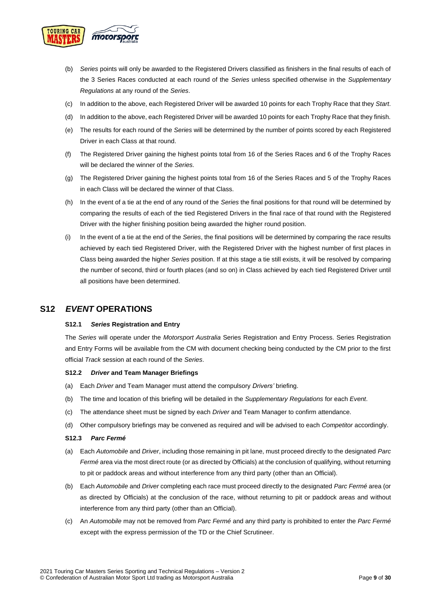

- (b) *Series* points will only be awarded to the Registered Drivers classified as finishers in the final results of each of the 3 Series Races conducted at each round of the *Series* unless specified otherwise in the *Supplementary Regulations* at any round of the *Series*.
- (c) In addition to the above, each Registered Driver will be awarded 10 points for each Trophy Race that they *Start*.
- (d) In addition to the above, each Registered Driver will be awarded 10 points for each Trophy Race that they finish.
- (e) The results for each round of the *Series* will be determined by the number of points scored by each Registered Driver in each Class at that round.
- (f) The Registered Driver gaining the highest points total from 16 of the Series Races and 6 of the Trophy Races will be declared the winner of the *Series.*
- (g) The Registered Driver gaining the highest points total from 16 of the Series Races and 5 of the Trophy Races in each Class will be declared the winner of that Class.
- (h) In the event of a tie at the end of any round of the *Series* the final positions for that round will be determined by comparing the results of each of the tied Registered Drivers in the final race of that round with the Registered Driver with the higher finishing position being awarded the higher round position.
- (i) In the event of a tie at the end of the *Series*, the final positions will be determined by comparing the race results achieved by each tied Registered Driver, with the Registered Driver with the highest number of first places in Class being awarded the higher *Series* position. If at this stage a tie still exists, it will be resolved by comparing the number of second, third or fourth places (and so on) in Class achieved by each tied Registered Driver until all positions have been determined.

### <span id="page-8-1"></span><span id="page-8-0"></span>**S12** *EVENT* **OPERATIONS**

#### **S12.1** *Series* **Registration and Entry**

The *Series* will operate under the *Motorsport Australia* Series Registration and Entry Process. Series Registration and Entry Forms will be available from the CM with document checking being conducted by the CM prior to the first official *Track* session at each round of the *Series*.

#### <span id="page-8-2"></span>**S12.2** *Driver* **and Team Manager Briefings**

- (a) Each *Driver* and Team Manager must attend the compulsory *Drivers'* briefing.
- (b) The time and location of this briefing will be detailed in the *Supplementary Regulations* for each *Event*.
- (c) The attendance sheet must be signed by each *Driver* and Team Manager to confirm attendance.
- (d) Other compulsory briefings may be convened as required and will be advised to each *Competitor* accordingly.

#### <span id="page-8-3"></span>**S12.3** *Parc Fermé*

- (a) Each *Automobile* and *Driver*, including those remaining in pit lane, must proceed directly to the designated *Parc Fermé* area via the most direct route (or as directed by Officials) at the conclusion of qualifying, without returning to pit or paddock areas and without interference from any third party (other than an Official).
- (b) Each *Automobile* and *Driver* completing each race must proceed directly to the designated *Parc Fermé* area (or as directed by Officials) at the conclusion of the race, without returning to pit or paddock areas and without interference from any third party (other than an Official).
- (c) An *Automobile* may not be removed from *Parc Fermé* and any third party is prohibited to enter the *Parc Fermé* except with the express permission of the TD or the Chief Scrutineer.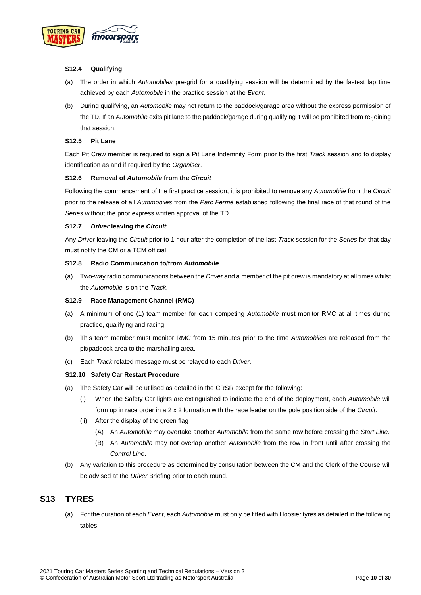

#### <span id="page-9-0"></span>**S12.4 Qualifying**

- (a) The order in which *Automobiles* pre-grid for a qualifying session will be determined by the fastest lap time achieved by each *Automobile* in the practice session at the *Event*.
- (b) During qualifying, an *Automobile* may not return to the paddock/garage area without the express permission of the TD. If an *Automobile* exits pit lane to the paddock/garage during qualifying it will be prohibited from re-joining that session.

#### <span id="page-9-1"></span>**S12.5 Pit Lane**

Each Pit Crew member is required to sign a Pit Lane Indemnity Form prior to the first *Track* session and to display identification as and if required by the *Organiser*.

#### <span id="page-9-2"></span>**S12.6 Removal of** *Automobile* **from the** *Circuit*

Following the commencement of the first practice session, it is prohibited to remove any *Automobile* from the *Circuit* prior to the release of all *Automobiles* from the *Parc Fermé* established following the final race of that round of the *Series* without the prior express written approval of the TD.

#### <span id="page-9-3"></span>**S12.7** *Driver* **leaving the** *Circuit*

Any *Driver* leaving the *Circuit* prior to 1 hour after the completion of the last *Track* session for the *Series* for that day must notify the CM or a TCM official.

#### <span id="page-9-4"></span>**S12.8 Radio Communication to/from** *Automobile*

(a) Two-way radio communications between the *Driver* and a member of the pit crew is mandatory at all times whilst the *Automobile* is on the *Track*.

#### <span id="page-9-5"></span>**S12.9 Race Management Channel (RMC)**

- (a) A minimum of one (1) team member for each competing *Automobile* must monitor RMC at all times during practice, qualifying and racing.
- (b) This team member must monitor RMC from 15 minutes prior to the time *Automobiles* are released from the pit/paddock area to the marshalling area.
- (c) Each *Track* related message must be relayed to each *Driver*.

#### <span id="page-9-6"></span>**S12.10 Safety Car Restart Procedure**

- (a) The Safety Car will be utilised as detailed in the CRSR except for the following:
	- (i) When the Safety Car lights are extinguished to indicate the end of the deployment, each *Automobile* will form up in race order in a 2 x 2 formation with the race leader on the pole position side of the *Circuit*.
	- (ii) After the display of the green flag
		- (A) An *Automobile* may overtake another *Automobile* from the same row before crossing the *Start Line.*
		- (B) An *Automobile* may not overlap another *Automobile* from the row in front until after crossing the *Control Line*.
- (b) Any variation to this procedure as determined by consultation between the CM and the Clerk of the Course will be advised at the *Driver* Briefing prior to each round.

### <span id="page-9-7"></span>**S13 TYRES**

(a) For the duration of each *Event*, each *Automobile* must only be fitted with Hoosier tyres as detailed in the following tables: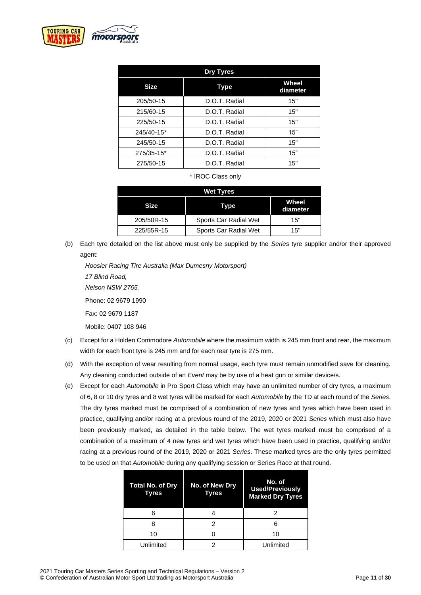

| <b>Dry Tyres</b> |               |                   |  |
|------------------|---------------|-------------------|--|
| <b>Size</b>      | Type          | Wheel<br>diameter |  |
| 205/50-15        | D.O.T. Radial | 15"               |  |
| 215/60-15        | D.O.T. Radial | 15"               |  |
| 225/50-15        | D.O.T. Radial | 15"               |  |
| 245/40-15*       | D.O.T. Radial | 15"               |  |
| 245/50-15        | D.O.T. Radial | 15"               |  |
| 275/35-15*       | D.O.T. Radial | 15"               |  |
| 275/50-15        | D.O.T. Radial | 15"               |  |

\* IROC Class only

| <b>Wet Tyres</b> |                       |                   |  |
|------------------|-----------------------|-------------------|--|
| Size.            | Type                  | Wheel<br>diameter |  |
| 205/50R-15       | Sports Car Radial Wet | 15"               |  |
| 225/55R-15       | Sports Car Radial Wet | 15"               |  |

(b) Each tyre detailed on the list above must only be supplied by the *Series* tyre supplier and/or their approved agent:

*Hoosier Racing Tire Australia (Max Dumesny Motorsport) 17 Blind Road, Nelson NSW 2765.*  Phone: 02 9679 1990 Fax: 02 9679 1187 Mobile: 0407 108 946

- (c) Except for a Holden Commodore *Automobile* where the maximum width is 245 mm front and rear, the maximum width for each front tyre is 245 mm and for each rear tyre is 275 mm.
- (d) With the exception of wear resulting from normal usage, each tyre must remain unmodified save for cleaning. Any cleaning conducted outside of an *Event* may be by use of a heat gun or similar device/s.
- (e) Except for each *Automobile* in Pro Sport Class which may have an unlimited number of dry tyres, a maximum of 6, 8 or 10 dry tyres and 8 wet tyres will be marked for each *Automobile* by the TD at each round of the *Series*. The dry tyres marked must be comprised of a combination of new tyres and tyres which have been used in practice, qualifying and/or racing at a previous round of the 2019, 2020 or 2021 *Series* which must also have been previously marked, as detailed in the table below. The wet tyres marked must be comprised of a combination of a maximum of 4 new tyres and wet tyres which have been used in practice, qualifying and/or racing at a previous round of the 2019, 2020 or 2021 *Series*. These marked tyres are the only tyres permitted to be used on that *Automobile* during any qualifying session or Series Race at that round.

| <b>Total No. of Dry</b><br>Tyres | No. of New Dry<br>Tyres | No. of<br><b>Used/Previously</b><br><b>Marked Dry Tyres</b> |
|----------------------------------|-------------------------|-------------------------------------------------------------|
|                                  |                         |                                                             |
|                                  |                         |                                                             |
| 10                               |                         | 10                                                          |
| Unlimited                        |                         | Unlimited                                                   |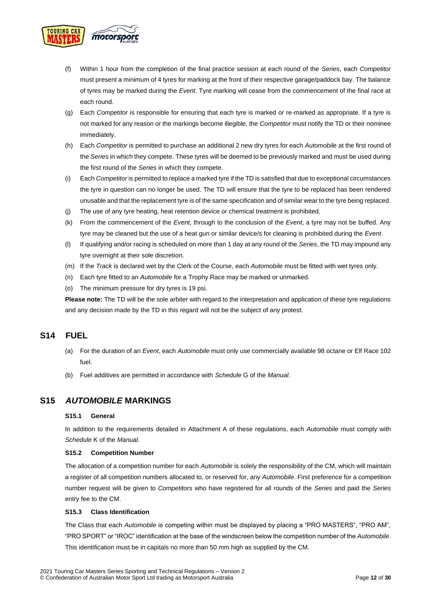

- (f) Within 1 hour from the completion of the final practice session at each round of the *Series*, each *Competitor* must present a minimum of 4 tyres for marking at the front of their respective garage/paddock bay. The balance of tyres may be marked during the *Event*. Tyre marking will cease from the commencement of the final race at each round.
- (g) Each *Competitor* is responsible for ensuring that each tyre is marked or re-marked as appropriate. If a tyre is not marked for any reason or the markings become illegible, the *Competitor* must notify the TD or their nominee immediately.
- (h) Each *Competitor* is permitted to purchase an additional 2 new dry tyres for each *Automobile* at the first round of the *Series* in which they compete. These tyres will be deemed to be previously marked and must be used during the first round of the *Series* in which they compete.
- (i) Each *Competitor* is permitted to replace a marked tyre if the TD is satisfied that due to exceptional circumstances the tyre in question can no longer be used. The TD will ensure that the tyre to be replaced has been rendered unusable and that the replacement tyre is of the same specification and of similar wear to the tyre being replaced.
- (j) The use of any tyre heating, heat retention device or chemical treatment is prohibited.
- (k) From the commencement of the *Event*, through to the conclusion of the *Event*, a tyre may not be buffed. Any tyre may be cleaned but the use of a heat gun or similar device/s for cleaning is prohibited during the *Event*.
- (l) If qualifying and/or racing is scheduled on more than 1 day at any round of the *Series*, the TD may impound any tyre overnight at their sole discretion.
- (m) If the *Track* is declared wet by the Clerk of the Course, each *Automobile* must be fitted with wet tyres only.
- (n) Each tyre fitted to an *Automobile* for a Trophy Race may be marked or unmarked.
- (o) The minimum pressure for dry tyres is 19 psi.

**Please note:** The TD will be the sole arbiter with regard to the interpretation and application of these tyre regulations and any decision made by the TD in this regard will not be the subject of any protest.

### <span id="page-11-0"></span>**S14 FUEL**

- (a) For the duration of an *Event*, each *Automobile* must only use commercially available 98 octane or Elf Race 102 fuel.
- (b) Fuel additives are permitted in accordance with *Schedule* G of the *Manual*.

### <span id="page-11-2"></span><span id="page-11-1"></span>**S15** *AUTOMOBILE* **MARKINGS**

#### **S15.1 General**

In addition to the requirements detailed in Attachment A of these regulations, each *Automobile* must comply with *Schedule* K of the *Manual*.

#### <span id="page-11-3"></span>**S15.2 Competition Number**

The allocation of a competition number for each *Automobile* is solely the responsibility of the CM, which will maintain a register of all competition numbers allocated to, or reserved for, any *Automobile*. First preference for a competition number request will be given to *Competitors* who have registered for all rounds of the *Series* and paid the *Series* entry fee to the CM.

#### <span id="page-11-4"></span>**S15.3 Class Identification**

The Class that each *Automobile* is competing within must be displayed by placing a "PRO MASTERS", "PRO AM", "PRO SPORT" or "IROC" identification at the base of the windscreen below the competition number of the *Automobile*. This identification must be in capitals no more than 50 mm high as supplied by the CM.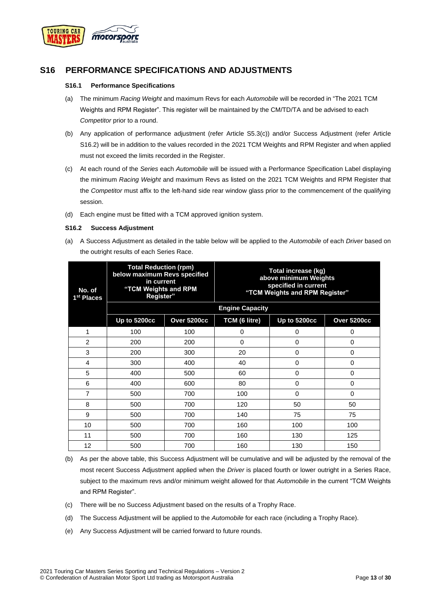

### <span id="page-12-1"></span><span id="page-12-0"></span>**S16 PERFORMANCE SPECIFICATIONS AND ADJUSTMENTS**

#### **S16.1 Performance Specifications**

- (a) The minimum *Racing Weight* and maximum Revs for each *Automobile* will be recorded in "The 2021 TCM Weights and RPM Register". This register will be maintained by the CM/TD/TA and be advised to each *Competitor* prior to a round.
- (b) Any application of performance adjustment (refer Article S5.3(c)) and/or Success Adjustment (refer Article S16.2) will be in addition to the values recorded in the 2021 TCM Weights and RPM Register and when applied must not exceed the limits recorded in the Register.
- (c) At each round of the *Series* each *Automobile* will be issued with a Performance Specification Label displaying the minimum *Racing Weight* and maximum Revs as listed on the 2021 TCM Weights and RPM Register that the *Competitor* must affix to the left-hand side rear window glass prior to the commencement of the qualifying session.
- (d) Each engine must be fitted with a TCM approved ignition system.

#### <span id="page-12-2"></span>**S16.2 Success Adjustment**

(a) A Success Adjustment as detailed in the table below will be applied to the *Automobile* of each *Driver* based on the outright results of each Series Race.

| No. of<br>1 <sup>st</sup> Places | <b>Total Reduction (rpm)</b><br>below maximum Revs specified<br>in current<br>"TCM Weights and RPM<br>Register" |                    | Total increase (kg)<br>above minimum Weights<br>specified in current<br>"TCM Weights and RPM Register" |              |                    |
|----------------------------------|-----------------------------------------------------------------------------------------------------------------|--------------------|--------------------------------------------------------------------------------------------------------|--------------|--------------------|
|                                  |                                                                                                                 |                    | <b>Engine Capacity</b>                                                                                 |              |                    |
|                                  | Up to 5200cc                                                                                                    | <b>Over 5200cc</b> | TCM (6 litre)                                                                                          | Up to 5200cc | <b>Over 5200cc</b> |
| 1                                | 100                                                                                                             | 100                | 0                                                                                                      | 0            | 0                  |
| $\overline{2}$                   | 200                                                                                                             | 200                | 0                                                                                                      | $\Omega$     | 0                  |
| 3                                | 200                                                                                                             | 300                | 20                                                                                                     | $\Omega$     | 0                  |
| 4                                | 300                                                                                                             | 400                | 40                                                                                                     | $\Omega$     | 0                  |
| 5                                | 400                                                                                                             | 500                | 60                                                                                                     | $\Omega$     | 0                  |
| 6                                | 400                                                                                                             | 600                | 80                                                                                                     | $\Omega$     | 0                  |
| 7                                | 500                                                                                                             | 700                | 100                                                                                                    | $\Omega$     | $\Omega$           |
| 8                                | 500                                                                                                             | 700                | 120                                                                                                    | 50           | 50                 |
| 9                                | 500                                                                                                             | 700                | 140                                                                                                    | 75           | 75                 |
| 10                               | 500                                                                                                             | 700                | 160                                                                                                    | 100          | 100                |
| 11                               | 500                                                                                                             | 700                | 160                                                                                                    | 130          | 125                |
| 12                               | 500                                                                                                             | 700                | 160                                                                                                    | 130          | 150                |

<sup>(</sup>b) As per the above table, this Success Adjustment will be cumulative and will be adjusted by the removal of the most recent Success Adjustment applied when the *Driver* is placed fourth or lower outright in a Series Race, subject to the maximum revs and/or minimum weight allowed for that *Automobile* in the current "TCM Weights and RPM Register".

- (c) There will be no Success Adjustment based on the results of a Trophy Race.
- (d) The Success Adjustment will be applied to the *Automobile* for each race (including a Trophy Race).
- (e) Any Success Adjustment will be carried forward to future rounds.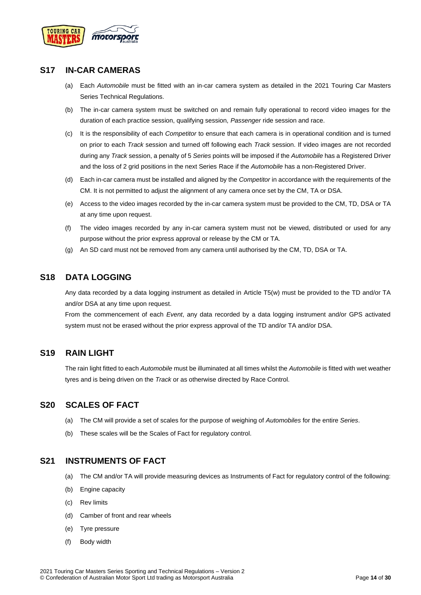

### <span id="page-13-0"></span>**S17 IN-CAR CAMERAS**

- (a) Each *Automobile* must be fitted with an in-car camera system as detailed in the 2021 Touring Car Masters Series Technical Regulations.
- (b) The in-car camera system must be switched on and remain fully operational to record video images for the duration of each practice session, qualifying session, *Passenger* ride session and race.
- (c) It is the responsibility of each *Competitor* to ensure that each camera is in operational condition and is turned on prior to each *Track* session and turned off following each *Track* session. If video images are not recorded during any *Track* session, a penalty of 5 *Series* points will be imposed if the *Automobile* has a Registered Driver and the loss of 2 grid positions in the next Series Race if the *Automobile* has a non-Registered Driver.
- (d) Each in-car camera must be installed and aligned by the *Competitor* in accordance with the requirements of the CM. It is not permitted to adjust the alignment of any camera once set by the CM, TA or DSA.
- (e) Access to the video images recorded by the in-car camera system must be provided to the CM, TD, DSA or TA at any time upon request.
- (f) The video images recorded by any in-car camera system must not be viewed, distributed or used for any purpose without the prior express approval or release by the CM or TA.
- (g) An SD card must not be removed from any camera until authorised by the CM, TD, DSA or TA.

### <span id="page-13-1"></span>**S18 DATA LOGGING**

Any data recorded by a data logging instrument as detailed in Article T5(w) must be provided to the TD and/or TA and/or DSA at any time upon request.

From the commencement of each *Event*, any data recorded by a data logging instrument and/or GPS activated system must not be erased without the prior express approval of the TD and/or TA and/or DSA.

### <span id="page-13-2"></span>**S19 RAIN LIGHT**

The rain light fitted to each *Automobile* must be illuminated at all times whilst the *Automobile* is fitted with wet weather tyres and is being driven on the *Track* or as otherwise directed by Race Control.

### <span id="page-13-3"></span>**S20 SCALES OF FACT**

- (a) The CM will provide a set of scales for the purpose of weighing of *Automobiles* for the entire *Series*.
- (b) These scales will be the Scales of Fact for regulatory control.

### <span id="page-13-4"></span>**S21 INSTRUMENTS OF FACT**

- (a) The CM and/or TA will provide measuring devices as Instruments of Fact for regulatory control of the following:
- (b) Engine capacity
- (c) Rev limits
- (d) Camber of front and rear wheels
- (e) Tyre pressure
- (f) Body width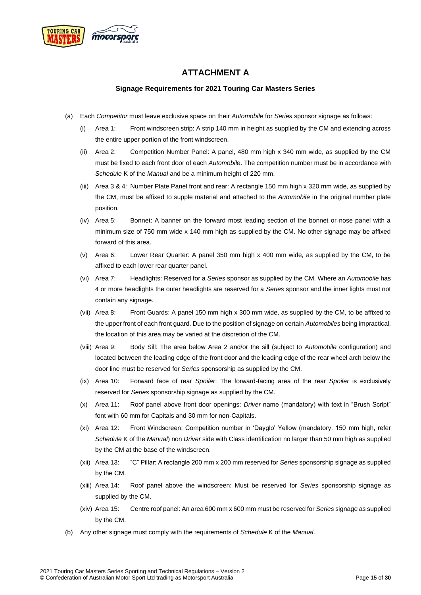<span id="page-14-0"></span>

### **ATTACHMENT A**

#### **Signage Requirements for 2021 Touring Car Masters Series**

- <span id="page-14-1"></span>(a) Each *Competitor* must leave exclusive space on their *Automobile* for *Series* sponsor signage as follows:
	- (i) Area 1: Front windscreen strip: A strip 140 mm in height as supplied by the CM and extending across the entire upper portion of the front windscreen.
	- (ii) Area 2: Competition Number Panel: A panel, 480 mm high x 340 mm wide, as supplied by the CM must be fixed to each front door of each *Automobile*. The competition number must be in accordance with *Schedule* K of the *Manual* and be a minimum height of 220 mm.
	- (iii) Area 3 & 4: Number Plate Panel front and rear: A rectangle 150 mm high x 320 mm wide, as supplied by the CM, must be affixed to supple material and attached to the *Automobile* in the original number plate position.
	- (iv) Area 5: Bonnet: A banner on the forward most leading section of the bonnet or nose panel with a minimum size of 750 mm wide x 140 mm high as supplied by the CM. No other signage may be affixed forward of this area.
	- (v) Area 6: Lower Rear Quarter: A panel 350 mm high x 400 mm wide, as supplied by the CM, to be affixed to each lower rear quarter panel.
	- (vi) Area 7: Headlights: Reserved for a *Series* sponsor as supplied by the CM. Where an *Automobile* has 4 or more headlights the outer headlights are reserved for a *Series* sponsor and the inner lights must not contain any signage.
	- (vii) Area 8: Front Guards: A panel 150 mm high x 300 mm wide, as supplied by the CM, to be affixed to the upper front of each front guard. Due to the position of signage on certain *Automobiles* being impractical, the location of this area may be varied at the discretion of the CM.
	- (viii) Area 9: Body Sill: The area below Area 2 and/or the sill (subject to *Automobile* configuration) and located between the leading edge of the front door and the leading edge of the rear wheel arch below the door line must be reserved for *Series* sponsorship as supplied by the CM.
	- (ix) Area 10: Forward face of rear *Spoiler*: The forward-facing area of the rear *Spoiler* is exclusively reserved for *Series* sponsorship signage as supplied by the CM.
	- (x) Area 11: Roof panel above front door openings: *Driver* name (mandatory) with text in "Brush Script" font with 60 mm for Capitals and 30 mm for non-Capitals.
	- (xi) Area 12: Front Windscreen: Competition number in 'Dayglo' Yellow (mandatory. 150 mm high, refer *Schedule* K of the *Manual*) non *Driver* side with Class identification no larger than 50 mm high as supplied by the CM at the base of the windscreen.
	- (xii) Area 13: "C" Pillar: A rectangle 200 mm x 200 mm reserved for *Series* sponsorship signage as supplied by the CM.
	- (xiii) Area 14: Roof panel above the windscreen: Must be reserved for *Series* sponsorship signage as supplied by the CM.
	- (xiv) Area 15: Centre roof panel: An area 600 mm x 600 mm must be reserved for *Series* signage as supplied by the CM.
- (b) Any other signage must comply with the requirements of *Schedule* K of the *Manual*.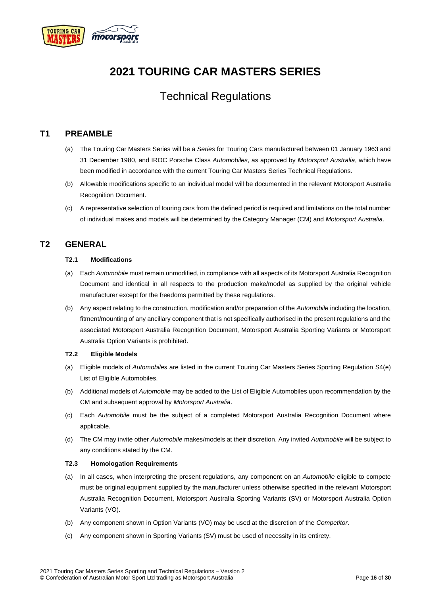

## **2021 TOURING CAR MASTERS SERIES**

## Technical Regulations

### <span id="page-15-0"></span>**T1 PREAMBLE**

- (a) The Touring Car Masters Series will be a *Series* for Touring Cars manufactured between 01 January 1963 and 31 December 1980, and IROC Porsche Class *Automobiles*, as approved by *Motorsport Australia*, which have been modified in accordance with the current Touring Car Masters Series Technical Regulations.
- (b) Allowable modifications specific to an individual model will be documented in the relevant Motorsport Australia Recognition Document.
- (c) A representative selection of touring cars from the defined period is required and limitations on the total number of individual makes and models will be determined by the Category Manager (CM) and *Motorsport Australia*.

### <span id="page-15-2"></span><span id="page-15-1"></span>**T2 GENERAL**

#### **T2.1 Modifications**

- (a) Each *Automobile* must remain unmodified, in compliance with all aspects of its Motorsport Australia Recognition Document and identical in all respects to the production make/model as supplied by the original vehicle manufacturer except for the freedoms permitted by these regulations.
- (b) Any aspect relating to the construction, modification and/or preparation of the *Automobile* including the location, fitment/mounting of any ancillary component that is not specifically authorised in the present regulations and the associated Motorsport Australia Recognition Document, Motorsport Australia Sporting Variants or Motorsport Australia Option Variants is prohibited.

#### <span id="page-15-3"></span>**T2.2 Eligible Models**

- (a) Eligible models of *Automobiles* are listed in the current Touring Car Masters Series Sporting Regulation S4(e) List of Eligible Automobiles.
- (b) Additional models of *Automobile* may be added to the List of Eligible Automobiles upon recommendation by the CM and subsequent approval by *Motorsport Australia*.
- (c) Each *Automobile* must be the subject of a completed Motorsport Australia Recognition Document where applicable.
- (d) The CM may invite other *Automobile* makes/models at their discretion. Any invited *Automobile* will be subject to any conditions stated by the CM.

#### <span id="page-15-4"></span>**T2.3 Homologation Requirements**

- (a) In all cases, when interpreting the present regulations, any component on an *Automobile* eligible to compete must be original equipment supplied by the manufacturer unless otherwise specified in the relevant Motorsport Australia Recognition Document, Motorsport Australia Sporting Variants (SV) or Motorsport Australia Option Variants (VO).
- (b) Any component shown in Option Variants (VO) may be used at the discretion of the *Competitor*.
- (c) Any component shown in Sporting Variants (SV) must be used of necessity in its entirety.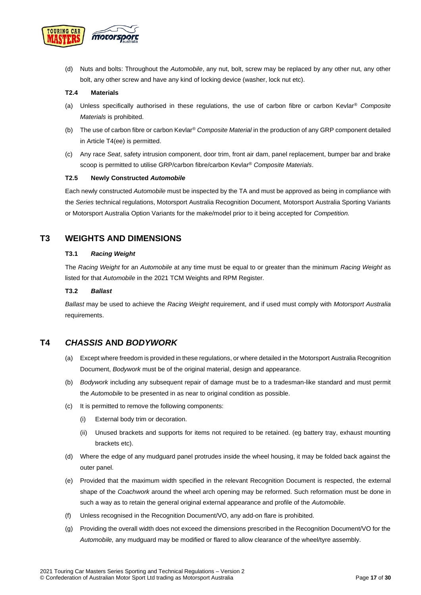

(d) Nuts and bolts: Throughout the *Automobile*, any nut, bolt, screw may be replaced by any other nut, any other bolt, any other screw and have any kind of locking device (washer, lock nut etc).

#### <span id="page-16-0"></span>**T2.4 Materials**

- (a) Unless specifically authorised in these regulations, the use of carbon fibre or carbon Kevlar® *Composite Materials* is prohibited.
- (b) The use of carbon fibre or carbon Kevlar® *Composite Material* in the production of any GRP component detailed in Article T4(ee) is permitted.
- (c) Any race *Seat*, safety intrusion component, door trim, front air dam, panel replacement, bumper bar and brake scoop is permitted to utilise GRP/carbon fibre/carbon Kevlar® *Composite Materials*.

#### <span id="page-16-1"></span>**T2.5 Newly Constructed** *Automobile*

Each newly constructed *Automobile* must be inspected by the TA and must be approved as being in compliance with the *Series* technical regulations, Motorsport Australia Recognition Document, Motorsport Australia Sporting Variants or Motorsport Australia Option Variants for the make/model prior to it being accepted for *Competition.*

### <span id="page-16-3"></span><span id="page-16-2"></span>**T3 WEIGHTS AND DIMENSIONS**

#### **T3.1** *Racing Weight*

The *Racing Weight* for an *Automobile* at any time must be equal to or greater than the minimum *Racing Weight* as listed for that *Automobile* in the 2021 TCM Weights and RPM Register.

#### <span id="page-16-4"></span>**T3.2** *Ballast*

*Ballast* may be used to achieve the *Racing Weight* requirement, and if used must comply with *Motorsport Australia* requirements.

### <span id="page-16-5"></span>**T4** *CHASSIS* **AND** *BODYWORK*

- (a) Except where freedom is provided in these regulations, or where detailed in the Motorsport Australia Recognition Document, *Bodywork* must be of the original material, design and appearance.
- (b) *Bodywork* including any subsequent repair of damage must be to a tradesman-like standard and must permit the *Automobile* to be presented in as near to original condition as possible.
- (c) It is permitted to remove the following components:
	- (i) External body trim or decoration.
	- (ii) Unused brackets and supports for items not required to be retained. (eg battery tray, exhaust mounting brackets etc).
- (d) Where the edge of any mudguard panel protrudes inside the wheel housing, it may be folded back against the outer panel.
- (e) Provided that the maximum width specified in the relevant Recognition Document is respected, the external shape of the *Coachwork* around the wheel arch opening may be reformed. Such reformation must be done in such a way as to retain the general original external appearance and profile of the *Automobile*.
- (f) Unless recognised in the Recognition Document/VO, any add-on flare is prohibited.
- (g) Providing the overall width does not exceed the dimensions prescribed in the Recognition Document/VO for the *Automobile,* any mudguard may be modified or flared to allow clearance of the wheel/tyre assembly.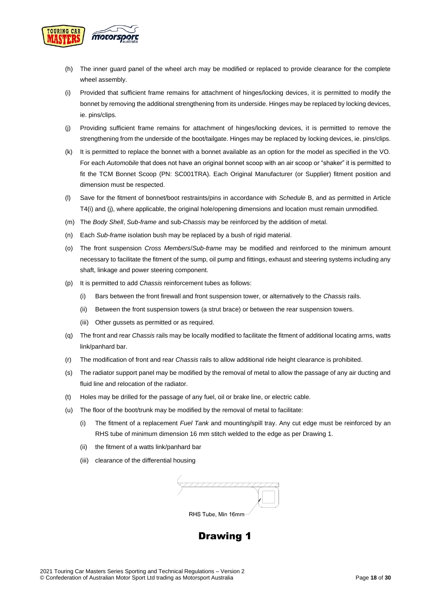

- (h) The inner guard panel of the wheel arch may be modified or replaced to provide clearance for the complete wheel assembly.
- (i) Provided that sufficient frame remains for attachment of hinges/locking devices, it is permitted to modify the bonnet by removing the additional strengthening from its underside. Hinges may be replaced by locking devices, ie. pins/clips.
- (j) Providing sufficient frame remains for attachment of hinges/locking devices, it is permitted to remove the strengthening from the underside of the boot/tailgate. Hinges may be replaced by locking devices, ie. pins/clips.
- (k) It is permitted to replace the bonnet with a bonnet available as an option for the model as specified in the VO. For each *Automobile* that does not have an original bonnet scoop with an air scoop or "shaker" it is permitted to fit the TCM Bonnet Scoop (PN: SC001TRA). Each Original Manufacturer (or Supplier) fitment position and dimension must be respected.
- (l) Save for the fitment of bonnet/boot restraints/pins in accordance with *Schedule* B, and as permitted in Article T4(i) and (j), where applicable, the original hole/opening dimensions and location must remain unmodified.
- (m) The *Body Shell*, *Sub-frame* and sub-*Chassis* may be reinforced by the addition of metal.
- (n) Each *Sub-frame* isolation bush may be replaced by a bush of rigid material.
- (o) The front suspension *Cross Members*/*Sub-frame* may be modified and reinforced to the minimum amount necessary to facilitate the fitment of the sump, oil pump and fittings, exhaust and steering systems including any shaft, linkage and power steering component.
- (p) It is permitted to add *Chassis* reinforcement tubes as follows:
	- (i) Bars between the front firewall and front suspension tower, or alternatively to the *Chassis* rails.
	- (ii) Between the front suspension towers (a strut brace) or between the rear suspension towers.
	- (iii) Other gussets as permitted or as required.
- (q) The front and rear *Chassis* rails may be locally modified to facilitate the fitment of additional locating arms, watts link/panhard bar.
- (r) The modification of front and rear *Chassis* rails to allow additional ride height clearance is prohibited.
- (s) The radiator support panel may be modified by the removal of metal to allow the passage of any air ducting and fluid line and relocation of the radiator.
- (t) Holes may be drilled for the passage of any fuel, oil or brake line, or electric cable.
- (u) The floor of the boot/trunk may be modified by the removal of metal to facilitate:
	- (i) The fitment of a replacement *Fuel Tank* and mounting/spill tray. Any cut edge must be reinforced by an RHS tube of minimum dimension 16 mm stitch welded to the edge as per Drawing 1.
	- (ii) the fitment of a watts link/panhard bar
	- (iii) clearance of the differential housing

RHS Tube, Min 16mm

## **Drawing 1**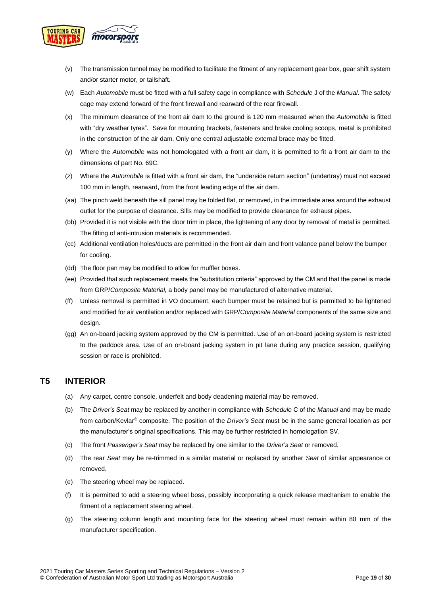

- (v) The transmission tunnel may be modified to facilitate the fitment of any replacement gear box, gear shift system and/or starter motor, or tailshaft.
- (w) Each *Automobile* must be fitted with a full safety cage in compliance with *Schedule* J of the *Manual*. The safety cage may extend forward of the front firewall and rearward of the rear firewall.
- (x) The minimum clearance of the front air dam to the ground is 120 mm measured when the *Automobile* is fitted with "dry weather tyres". Save for mounting brackets, fasteners and brake cooling scoops, metal is prohibited in the construction of the air dam. Only one central adjustable external brace may be fitted.
- (y) Where the *Automobile* was not homologated with a front air dam, it is permitted to fit a front air dam to the dimensions of part No. 69C.
- (z) Where the *Automobile* is fitted with a front air dam, the "underside return section" (undertray) must not exceed 100 mm in length, rearward, from the front leading edge of the air dam.
- (aa) The pinch weld beneath the sill panel may be folded flat, or removed, in the immediate area around the exhaust outlet for the purpose of clearance. Sills may be modified to provide clearance for exhaust pipes.
- (bb) Provided it is not visible with the door trim in place, the lightening of any door by removal of metal is permitted. The fitting of anti-intrusion materials is recommended.
- (cc) Additional ventilation holes/ducts are permitted in the front air dam and front valance panel below the bumper for cooling.
- (dd) The floor pan may be modified to allow for muffler boxes.
- (ee) Provided that such replacement meets the "substitution criteria" approved by the CM and that the panel is made from GRP/*Composite Material,* a body panel may be manufactured of alternative material.
- (ff) Unless removal is permitted in VO document, each bumper must be retained but is permitted to be lightened and modified for air ventilation and/or replaced with GRP/*Composite Material* components of the same size and design.
- (gg) An on-board jacking system approved by the CM is permitted. Use of an on-board jacking system is restricted to the paddock area. Use of an on-board jacking system in pit lane during any practice session, qualifying session or race is prohibited.

### <span id="page-18-0"></span>**T5 INTERIOR**

- (a) Any carpet, centre console, underfelt and body deadening material may be removed.
- (b) The *Driver's Seat* may be replaced by another in compliance with *Schedule* C of the *Manual* and may be made from carbon/Kevlar® composite. The position of the *Driver's Seat* must be in the same general location as per the manufacturer's original specifications. This may be further restricted in homologation SV.
- (c) The front *Passenger's Seat* may be replaced by one similar to the *Driver's Seat* or removed.
- (d) The rear *Seat* may be re-trimmed in a similar material or replaced by another *Seat* of similar appearance or removed.
- (e) The steering wheel may be replaced.
- (f) It is permitted to add a steering wheel boss, possibly incorporating a quick release mechanism to enable the fitment of a replacement steering wheel.
- (g) The steering column length and mounting face for the steering wheel must remain within 80 mm of the manufacturer specification.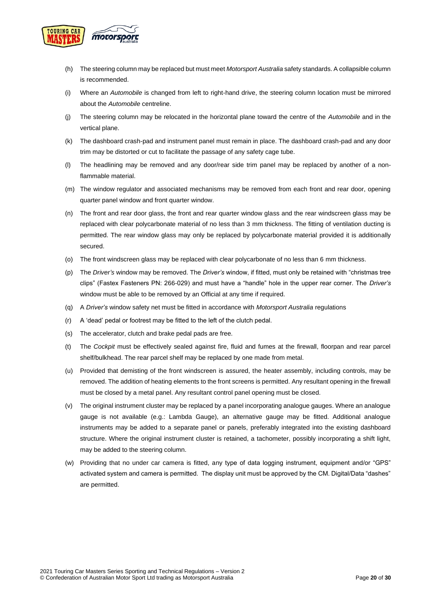

- (h) The steering column may be replaced but must meet *Motorsport Australia* safety standards. A collapsible column is recommended.
- (i) Where an *Automobile* is changed from left to right-hand drive, the steering column location must be mirrored about the *Automobile* centreline.
- (j) The steering column may be relocated in the horizontal plane toward the centre of the *Automobile* and in the vertical plane.
- (k) The dashboard crash-pad and instrument panel must remain in place. The dashboard crash-pad and any door trim may be distorted or cut to facilitate the passage of any safety cage tube.
- (l) The headlining may be removed and any door/rear side trim panel may be replaced by another of a nonflammable material.
- (m) The window regulator and associated mechanisms may be removed from each front and rear door, opening quarter panel window and front quarter window.
- (n) The front and rear door glass, the front and rear quarter window glass and the rear windscreen glass may be replaced with clear polycarbonate material of no less than 3 mm thickness. The fitting of ventilation ducting is permitted. The rear window glass may only be replaced by polycarbonate material provided it is additionally secured.
- (o) The front windscreen glass may be replaced with clear polycarbonate of no less than 6 mm thickness.
- (p) The *Driver's* window may be removed. The *Driver's* window, if fitted, must only be retained with "christmas tree clips" (Fastex Fasteners PN: 266-029) and must have a "handle" hole in the upper rear corner. The *Driver's*  window must be able to be removed by an Official at any time if required.
- (q) A *Driver's* window safety net must be fitted in accordance with *Motorsport Australia* regulations
- (r) A 'dead' pedal or footrest may be fitted to the left of the clutch pedal.
- (s) The accelerator, clutch and brake pedal pads are free.
- (t) The *Cockpit* must be effectively sealed against fire, fluid and fumes at the firewall, floorpan and rear parcel shelf/bulkhead. The rear parcel shelf may be replaced by one made from metal.
- (u) Provided that demisting of the front windscreen is assured, the heater assembly, including controls, may be removed. The addition of heating elements to the front screens is permitted. Any resultant opening in the firewall must be closed by a metal panel. Any resultant control panel opening must be closed.
- (v) The original instrument cluster may be replaced by a panel incorporating analogue gauges. Where an analogue gauge is not available (e.g.: Lambda Gauge), an alternative gauge may be fitted. Additional analogue instruments may be added to a separate panel or panels, preferably integrated into the existing dashboard structure. Where the original instrument cluster is retained, a tachometer, possibly incorporating a shift light, may be added to the steering column.
- (w) Providing that no under car camera is fitted, any type of data logging instrument, equipment and/or "GPS" activated system and camera is permitted. The display unit must be approved by the CM. Digital/Data "dashes" are permitted.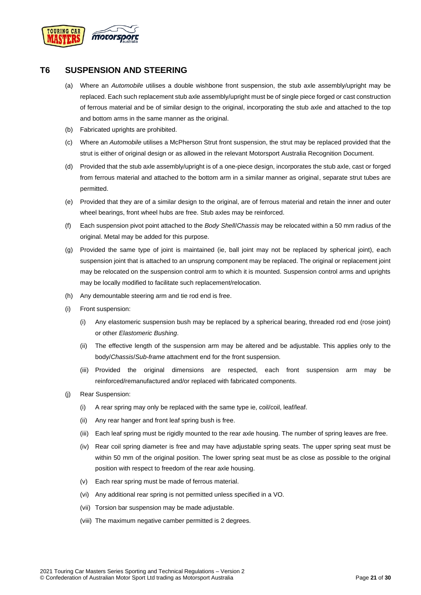

### <span id="page-20-0"></span>**T6 SUSPENSION AND STEERING**

- (a) Where an *Automobile* utilises a double wishbone front suspension, the stub axle assembly/upright may be replaced. Each such replacement stub axle assembly/upright must be of single piece forged or cast construction of ferrous material and be of similar design to the original, incorporating the stub axle and attached to the top and bottom arms in the same manner as the original.
- (b) Fabricated uprights are prohibited.
- (c) Where an *Automobile* utilises a McPherson Strut front suspension, the strut may be replaced provided that the strut is either of original design or as allowed in the relevant Motorsport Australia Recognition Document.
- (d) Provided that the stub axle assembly/upright is of a one-piece design, incorporates the stub axle, cast or forged from ferrous material and attached to the bottom arm in a similar manner as original, separate strut tubes are permitted.
- (e) Provided that they are of a similar design to the original, are of ferrous material and retain the inner and outer wheel bearings, front wheel hubs are free. Stub axles may be reinforced.
- (f) Each suspension pivot point attached to the *Body Shell*/*Chassis* may be relocated within a 50 mm radius of the original. Metal may be added for this purpose.
- (g) Provided the same type of joint is maintained (ie, ball joint may not be replaced by spherical joint), each suspension joint that is attached to an unsprung component may be replaced. The original or replacement joint may be relocated on the suspension control arm to which it is mounted. Suspension control arms and uprights may be locally modified to facilitate such replacement/relocation.
- (h) Any demountable steering arm and tie rod end is free.
- (i) Front suspension:
	- (i) Any elastomeric suspension bush may be replaced by a spherical bearing, threaded rod end (rose joint) or other *Elastomeric Bushing*.
	- (ii) The effective length of the suspension arm may be altered and be adjustable. This applies only to the body/*Chassis*/*Sub-frame* attachment end for the front suspension.
	- (iii) Provided the original dimensions are respected, each front suspension arm may be reinforced/remanufactured and/or replaced with fabricated components.
- (j) Rear Suspension:
	- (i) A rear spring may only be replaced with the same type ie, coil/coil, leaf/leaf.
	- (ii) Any rear hanger and front leaf spring bush is free.
	- (iii) Each leaf spring must be rigidly mounted to the rear axle housing. The number of spring leaves are free.
	- (iv) Rear coil spring diameter is free and may have adjustable spring seats. The upper spring seat must be within 50 mm of the original position. The lower spring seat must be as close as possible to the original position with respect to freedom of the rear axle housing.
	- (v) Each rear spring must be made of ferrous material.
	- (vi) Any additional rear spring is not permitted unless specified in a VO.
	- (vii) Torsion bar suspension may be made adjustable.
	- (viii) The maximum negative camber permitted is 2 degrees.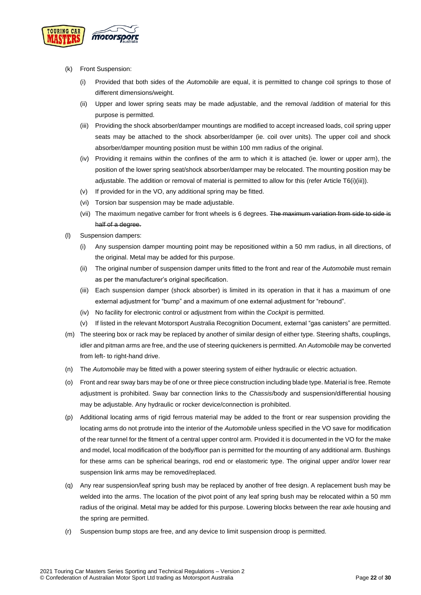

- (k) Front Suspension:
	- (i) Provided that both sides of the *Automobile* are equal, it is permitted to change coil springs to those of different dimensions/weight.
	- (ii) Upper and lower spring seats may be made adjustable, and the removal /addition of material for this purpose is permitted.
	- (iii) Providing the shock absorber/damper mountings are modified to accept increased loads, coil spring upper seats may be attached to the shock absorber/damper (ie. coil over units). The upper coil and shock absorber/damper mounting position must be within 100 mm radius of the original.
	- (iv) Providing it remains within the confines of the arm to which it is attached (ie. lower or upper arm), the position of the lower spring seat/shock absorber/damper may be relocated. The mounting position may be adjustable. The addition or removal of material is permitted to allow for this (refer Article T6(i)(iii)).
	- (v) If provided for in the VO, any additional spring may be fitted.
	- (vi) Torsion bar suspension may be made adjustable.
	- (vii) The maximum negative camber for front wheels is 6 degrees. The maximum variation from side to side is half of a degree.
- (l) Suspension dampers:
	- (i) Any suspension damper mounting point may be repositioned within a 50 mm radius, in all directions, of the original. Metal may be added for this purpose.
	- (ii) The original number of suspension damper units fitted to the front and rear of the *Automobile* must remain as per the manufacturer's original specification.
	- (iii) Each suspension damper (shock absorber) is limited in its operation in that it has a maximum of one external adjustment for "bump" and a maximum of one external adjustment for "rebound".
	- (iv) No facility for electronic control or adjustment from within the *Cockpit* is permitted.
	- (v) If listed in the relevant Motorsport Australia Recognition Document, external "gas canisters" are permitted.
- (m) The steering box or rack may be replaced by another of similar design of either type. Steering shafts, couplings, idler and pitman arms are free, and the use of steering quickeners is permitted. An *Automobile* may be converted from left- to right-hand drive.
- (n) The *Automobile* may be fitted with a power steering system of either hydraulic or electric actuation.
- (o) Front and rear sway bars may be of one or three piece construction including blade type. Material is free. Remote adjustment is prohibited. Sway bar connection links to the *Chassis*/body and suspension/differential housing may be adjustable. Any hydraulic or rocker device/connection is prohibited.
- (p) Additional locating arms of rigid ferrous material may be added to the front or rear suspension providing the locating arms do not protrude into the interior of the *Automobile* unless specified in the VO save for modification of the rear tunnel for the fitment of a central upper control arm. Provided it is documented in the VO for the make and model, local modification of the body/floor pan is permitted for the mounting of any additional arm. Bushings for these arms can be spherical bearings, rod end or elastomeric type. The original upper and/or lower rear suspension link arms may be removed/replaced.
- (q) Any rear suspension/leaf spring bush may be replaced by another of free design. A replacement bush may be welded into the arms. The location of the pivot point of any leaf spring bush may be relocated within a 50 mm radius of the original. Metal may be added for this purpose. Lowering blocks between the rear axle housing and the spring are permitted.
- (r) Suspension bump stops are free, and any device to limit suspension droop is permitted.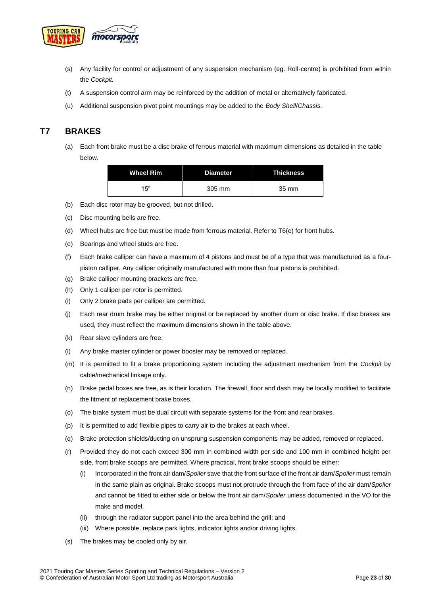

- (s) Any facility for control or adjustment of any suspension mechanism (eg. Roll-centre) is prohibited from within the *Cockpit.*
- (t) A suspension control arm may be reinforced by the addition of metal or alternatively fabricated.
- (u) Additional suspension pivot point mountings may be added to the *Body Shell*/*Chassis*.

### <span id="page-22-0"></span>**T7 BRAKES**

(a) Each front brake must be a disc brake of ferrous material with maximum dimensions as detailed in the table below.

| <b>Wheel Rim</b> | <b>Diameter</b> | Thickness |
|------------------|-----------------|-----------|
| 15"              | 305 mm          | 35 mm     |

- (b) Each disc rotor may be grooved, but not drilled.
- (c) Disc mounting bells are free.
- (d) Wheel hubs are free but must be made from ferrous material. Refer to T6(e) for front hubs.
- (e) Bearings and wheel studs are free.
- (f) Each brake calliper can have a maximum of 4 pistons and must be of a type that was manufactured as a fourpiston calliper. Any calliper originally manufactured with more than four pistons is prohibited.
- (g) Brake calliper mounting brackets are free.
- (h) Only 1 calliper per rotor is permitted.
- (i) Only 2 brake pads per calliper are permitted.
- (j) Each rear drum brake may be either original or be replaced by another drum or disc brake. If disc brakes are used, they must reflect the maximum dimensions shown in the table above.
- (k) Rear slave cylinders are free.
- (l) Any brake master cylinder or power booster may be removed or replaced.
- (m) It is permitted to fit a brake proportioning system including the adjustment mechanism from the *Cockpit* by cable/mechanical linkage only.
- (n) Brake pedal boxes are free, as is their location. The firewall, floor and dash may be locally modified to facilitate the fitment of replacement brake boxes.
- (o) The brake system must be dual circuit with separate systems for the front and rear brakes.
- (p) It is permitted to add flexible pipes to carry air to the brakes at each wheel.
- (q) Brake protection shields/ducting on unsprung suspension components may be added, removed or replaced.
- (r) Provided they do not each exceed 300 mm in combined width per side and 100 mm in combined height per side, front brake scoops are permitted. Where practical, front brake scoops should be either:
	- (i) Incorporated in the front air dam/*Spoiler* save that the front surface of the front air dam/*Spoiler* must remain in the same plain as original. Brake scoops must not protrude through the front face of the air dam/*Spoiler* and cannot be fitted to either side or below the front air dam/*Spoiler* unless documented in the VO for the make and model.
	- (ii) through the radiator support panel into the area behind the grill; and
	- (iii) Where possible, replace park lights, indicator lights and/or driving lights.
- (s) The brakes may be cooled only by air.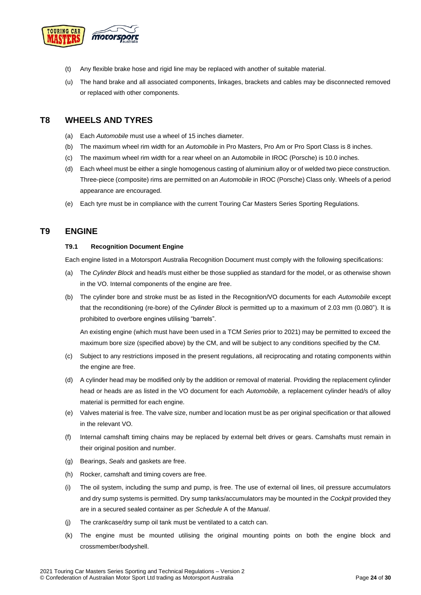

- (t) Any flexible brake hose and rigid line may be replaced with another of suitable material.
- (u) The hand brake and all associated components, linkages, brackets and cables may be disconnected removed or replaced with other components.

### <span id="page-23-0"></span>**T8 WHEELS AND TYRES**

- (a) Each *Automobile* must use a wheel of 15 inches diameter.
- (b) The maximum wheel rim width for an *Automobile* in Pro Masters, Pro Am or Pro Sport Class is 8 inches.
- (c) The maximum wheel rim width for a rear wheel on an Automobile in IROC (Porsche) is 10.0 inches.
- (d) Each wheel must be either a single homogenous casting of aluminium alloy or of welded two piece construction. Three-piece (composite) rims are permitted on an *Automobile* in IROC (Porsche) Class only. Wheels of a period appearance are encouraged.
- (e) Each tyre must be in compliance with the current Touring Car Masters Series Sporting Regulations.

### <span id="page-23-2"></span><span id="page-23-1"></span>**T9 ENGINE**

#### **T9.1 Recognition Document Engine**

Each engine listed in a Motorsport Australia Recognition Document must comply with the following specifications:

- (a) The *Cylinder Block* and head/s must either be those supplied as standard for the model, or as otherwise shown in the VO. Internal components of the engine are free.
- (b) The cylinder bore and stroke must be as listed in the Recognition/VO documents for each *Automobile* except that the reconditioning (re-bore) of the *Cylinder Block* is permitted up to a maximum of 2.03 mm (0.080"). It is prohibited to overbore engines utilising "barrels".

An existing engine (which must have been used in a TCM *Series* prior to 2021) may be permitted to exceed the maximum bore size (specified above) by the CM, and will be subject to any conditions specified by the CM.

- (c) Subject to any restrictions imposed in the present regulations, all reciprocating and rotating components within the engine are free.
- (d) A cylinder head may be modified only by the addition or removal of material. Providing the replacement cylinder head or heads are as listed in the VO document for each *Automobile,* a replacement cylinder head/s of alloy material is permitted for each engine*.*
- (e) Valves material is free. The valve size, number and location must be as per original specification or that allowed in the relevant VO.
- (f) Internal camshaft timing chains may be replaced by external belt drives or gears. Camshafts must remain in their original position and number.
- (g) Bearings, *Seals* and gaskets are free.
- (h) Rocker, camshaft and timing covers are free.
- (i) The oil system, including the sump and pump, is free. The use of external oil lines, oil pressure accumulators and dry sump systems is permitted. Dry sump tanks/accumulators may be mounted in the *Cockpit* provided they are in a secured sealed container as per *Schedule* A of the *Manual*.
- (j) The crankcase/dry sump oil tank must be ventilated to a catch can.
- (k) The engine must be mounted utilising the original mounting points on both the engine block and crossmember/bodyshell.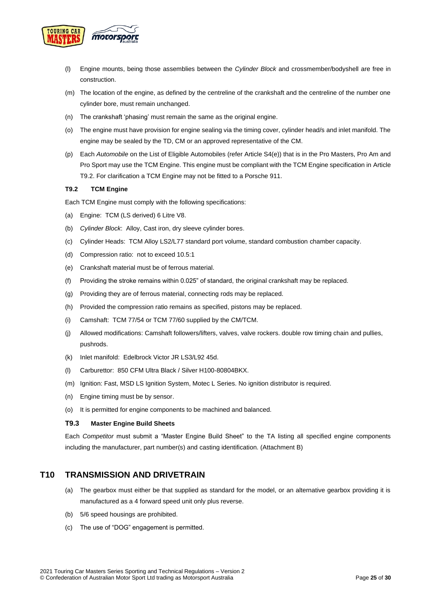

- (l) Engine mounts, being those assemblies between the *Cylinder Block* and crossmember/bodyshell are free in construction.
- (m) The location of the engine, as defined by the centreline of the crankshaft and the centreline of the number one cylinder bore, must remain unchanged.
- (n) The crankshaft 'phasing' must remain the same as the original engine.
- (o) The engine must have provision for engine sealing via the timing cover, cylinder head/s and inlet manifold. The engine may be sealed by the TD, CM or an approved representative of the CM.
- (p) Each *Automobile* on the List of Eligible Automobiles (refer Article S4(e)) that is in the Pro Masters, Pro Am and Pro Sport may use the TCM Engine. This engine must be compliant with the TCM Engine specification in Article T9.2. For clarification a TCM Engine may not be fitted to a Porsche 911.

#### <span id="page-24-0"></span>**T9.2 TCM Engine**

Each TCM Engine must comply with the following specifications:

- (a) Engine: TCM (LS derived) 6 Litre V8.
- (b) *Cylinder Block*: Alloy, Cast iron, dry sleeve cylinder bores.
- (c) Cylinder Heads: TCM Alloy LS2/L77 standard port volume, standard combustion chamber capacity.
- (d) Compression ratio: not to exceed 10.5:1
- (e) Crankshaft material must be of ferrous material.
- (f) Providing the stroke remains within 0.025" of standard, the original crankshaft may be replaced.
- (g) Providing they are of ferrous material, connecting rods may be replaced.
- (h) Provided the compression ratio remains as specified, pistons may be replaced.
- (i) Camshaft: TCM 77/54 or TCM 77/60 supplied by the CM/TCM.
- (j) Allowed modifications: Camshaft followers/lifters, valves, valve rockers. double row timing chain and pullies, pushrods.
- (k) Inlet manifold: Edelbrock Victor JR LS3/L92 45d.
- (l) Carburettor: 850 CFM Ultra Black / Silver H100-80804BKX.
- (m) Ignition: Fast, MSD LS Ignition System, Motec L Series. No ignition distributor is required.
- (n) Engine timing must be by sensor.
- (o) It is permitted for engine components to be machined and balanced.

#### <span id="page-24-1"></span>**T9.3 Master Engine Build Sheets**

Each *Competitor* must submit a "Master Engine Build Sheet" to the TA listing all specified engine components including the manufacturer, part number(s) and casting identification. (Attachment B)

### <span id="page-24-2"></span>**T10 TRANSMISSION AND DRIVETRAIN**

- (a) The gearbox must either be that supplied as standard for the model, or an alternative gearbox providing it is manufactured as a 4 forward speed unit only plus reverse.
- (b) 5/6 speed housings are prohibited.
- (c) The use of "DOG" engagement is permitted.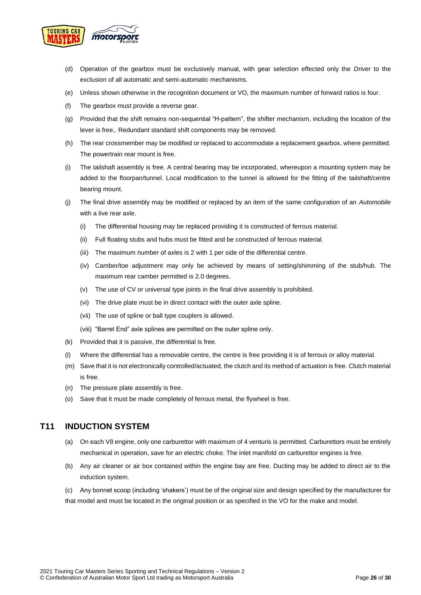

- (d) Operation of the gearbox must be exclusively manual, with gear selection effected only the *Driver* to the exclusion of all automatic and semi-automatic mechanisms.
- (e) Unless shown otherwise in the recognition document or VO, the maximum number of forward ratios is four.
- (f) The gearbox must provide a reverse gear.
- (g) Provided that the shift remains non-sequential "H-pattern", the shifter mechanism, including the location of the lever is free,. Redundant standard shift components may be removed.
- (h) The rear crossmember may be modified or replaced to accommodate a replacement gearbox, where permitted. The powertrain rear mount is free.
- (i) The tailshaft assembly is free. A central bearing may be incorporated, whereupon a mounting system may be added to the floorpan/tunnel. Local modification to the tunnel is allowed for the fitting of the tailshaft/centre bearing mount.
- (j) The final drive assembly may be modified or replaced by an item of the same configuration of an *Automobile* with a live rear axle.
	- (i) The differential housing may be replaced providing it is constructed of ferrous material.
	- (ii) Full floating stubs and hubs must be fitted and be constructed of ferrous material.
	- (iii) The maximum number of axles is 2 with 1 per side of the differential centre.
	- (iv) Camber/toe adjustment may only be achieved by means of setting/shimming of the stub/hub. The maximum rear camber permitted is 2.0 degrees.
	- (v) The use of CV or universal type joints in the final drive assembly is prohibited.
	- (vi) The drive plate must be in direct contact with the outer axle spline.
	- (vii) The use of spline or ball type couplers is allowed.
	- (viii) "Barrel End" axle splines are permitted on the outer spline only.
- (k) Provided that it is passive, the differential is free.
- (l) Where the differential has a removable centre, the centre is free providing it is of ferrous or alloy material.
- (m) Save that it is not electronically controlled/actuated, the clutch and its method of actuation is free. Clutch material is free.
- (n) The pressure plate assembly is free.
- (o) Save that it must be made completely of ferrous metal, the flywheel is free.

### <span id="page-25-0"></span>**T11 INDUCTION SYSTEM**

- (a) On each V8 engine, only one carburettor with maximum of 4 venturis is permitted. Carburettors must be entirely mechanical in operation, save for an electric choke. The inlet manifold on carburettor engines is free.
- (b) Any air cleaner or air box contained within the engine bay are free. Ducting may be added to direct air to the induction system.

(c) Any bonnet scoop (including 'shakers') must be of the original size and design specified by the manufacturer for that model and must be located in the original position or as specified in the VO for the make and model.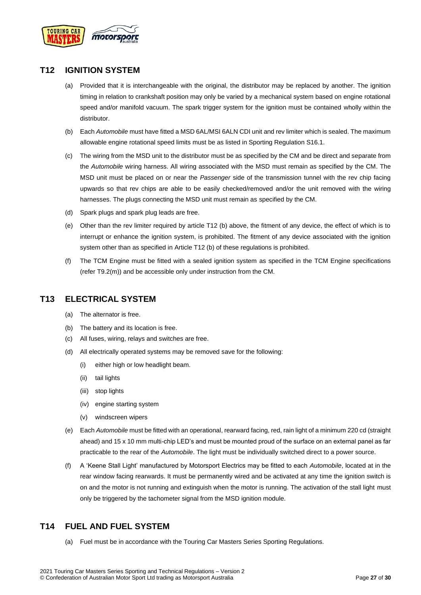

### <span id="page-26-0"></span>**T12 IGNITION SYSTEM**

- (a) Provided that it is interchangeable with the original, the distributor may be replaced by another. The ignition timing in relation to crankshaft position may only be varied by a mechanical system based on engine rotational speed and/or manifold vacuum. The spark trigger system for the ignition must be contained wholly within the distributor.
- (b) Each *Automobile* must have fitted a MSD 6AL/MSI 6ALN CDI unit and rev limiter which is sealed. The maximum allowable engine rotational speed limits must be as listed in Sporting Regulation S16.1.
- (c) The wiring from the MSD unit to the distributor must be as specified by the CM and be direct and separate from the *Automobile* wiring harness. All wiring associated with the MSD must remain as specified by the CM. The MSD unit must be placed on or near the *Passenger* side of the transmission tunnel with the rev chip facing upwards so that rev chips are able to be easily checked/removed and/or the unit removed with the wiring harnesses. The plugs connecting the MSD unit must remain as specified by the CM.
- (d) Spark plugs and spark plug leads are free.
- (e) Other than the rev limiter required by article T12 (b) above, the fitment of any device, the effect of which is to interrupt or enhance the ignition system, is prohibited. The fitment of any device associated with the ignition system other than as specified in Article T12 (b) of these regulations is prohibited.
- (f) The TCM Engine must be fitted with a sealed ignition system as specified in the TCM Engine specifications (refer T9.2(m)) and be accessible only under instruction from the CM.

### <span id="page-26-1"></span>**T13 ELECTRICAL SYSTEM**

- (a) The alternator is free.
- (b) The battery and its location is free.
- (c) All fuses, wiring, relays and switches are free.
- (d) All electrically operated systems may be removed save for the following:
	- (i) either high or low headlight beam.
	- (ii) tail lights
	- (iii) stop lights
	- (iv) engine starting system
	- (v) windscreen wipers
- (e) Each *Automobile* must be fitted with an operational, rearward facing, red, rain light of a minimum 220 cd (straight ahead) and 15 x 10 mm multi-chip LED's and must be mounted proud of the surface on an external panel as far practicable to the rear of the *Automobile*. The light must be individually switched direct to a power source.
- (f) A 'Keene Stall Light' manufactured by Motorsport Electrics may be fitted to each *Automobile*, located at in the rear window facing rearwards. It must be permanently wired and be activated at any time the ignition switch is on and the motor is not running and extinguish when the motor is running. The activation of the stall light must only be triggered by the tachometer signal from the MSD ignition module.

### <span id="page-26-2"></span>**T14 FUEL AND FUEL SYSTEM**

(a) Fuel must be in accordance with the Touring Car Masters Series Sporting Regulations.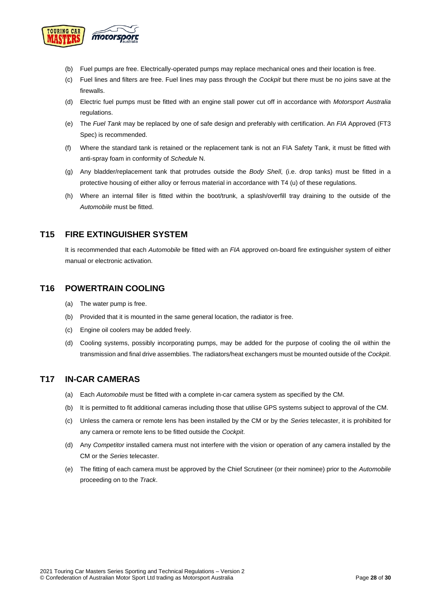

- (b) Fuel pumps are free. Electrically-operated pumps may replace mechanical ones and their location is free.
- (c) Fuel lines and filters are free. Fuel lines may pass through the *Cockpit* but there must be no joins save at the firewalls.
- (d) Electric fuel pumps must be fitted with an engine stall power cut off in accordance with *Motorsport Australia* regulations.
- (e) The *Fuel Tank* may be replaced by one of safe design and preferably with certification. An *FIA* Approved (FT3 Spec) is recommended.
- (f) Where the standard tank is retained or the replacement tank is not an FIA Safety Tank, it must be fitted with anti-spray foam in conformity of *Schedule* N.
- (g) Any bladder/replacement tank that protrudes outside the *Body Shell*, (i.e. drop tanks) must be fitted in a protective housing of either alloy or ferrous material in accordance with T4 (u) of these regulations.
- (h) Where an internal filler is fitted within the boot/trunk, a splash/overfill tray draining to the outside of the *Automobile* must be fitted.

### <span id="page-27-0"></span>**T15 FIRE EXTINGUISHER SYSTEM**

It is recommended that each *Automobile* be fitted with an *FIA* approved on-board fire extinguisher system of either manual or electronic activation.

### <span id="page-27-1"></span>**T16 POWERTRAIN COOLING**

- (a) The water pump is free.
- (b) Provided that it is mounted in the same general location, the radiator is free.
- (c) Engine oil coolers may be added freely.
- (d) Cooling systems, possibly incorporating pumps, may be added for the purpose of cooling the oil within the transmission and final drive assemblies. The radiators/heat exchangers must be mounted outside of the *Cockpit*.

### <span id="page-27-2"></span>**T17 IN-CAR CAMERAS**

- (a) Each *Automobile* must be fitted with a complete in-car camera system as specified by the CM.
- (b) It is permitted to fit additional cameras including those that utilise GPS systems subject to approval of the CM.
- (c) Unless the camera or remote lens has been installed by the CM or by the *Series* telecaster, it is prohibited for any camera or remote lens to be fitted outside the *Cockpit*.
- (d) Any *Competitor* installed camera must not interfere with the vision or operation of any camera installed by the CM or the *Series* telecaster.
- (e) The fitting of each camera must be approved by the Chief Scrutineer (or their nominee) prior to the *Automobile* proceeding on to the *Track*.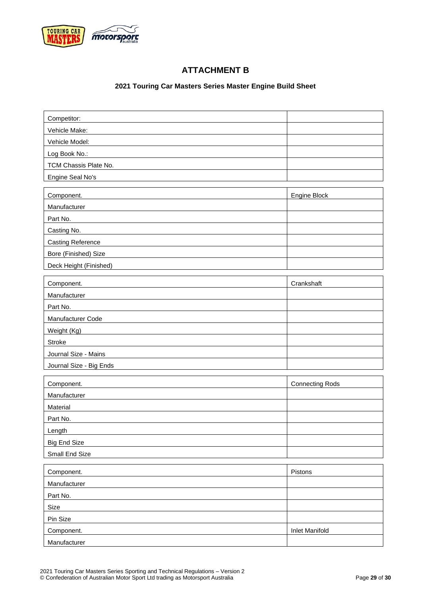<span id="page-28-0"></span>

<span id="page-28-1"></span> $\mathbf{r}$ 

### **ATTACHMENT B**

### **2021 Touring Car Masters Series Master Engine Build Sheet**

| Competitor:              |                                    |
|--------------------------|------------------------------------|
| Vehicle Make:            |                                    |
| Vehicle Model:           |                                    |
| Log Book No.:            |                                    |
| TCM Chassis Plate No.    |                                    |
| Engine Seal No's         |                                    |
|                          |                                    |
| Component.               | Engine Block                       |
| Manufacturer             |                                    |
| Part No.                 |                                    |
| Casting No.              |                                    |
| <b>Casting Reference</b> |                                    |
| Bore (Finished) Size     |                                    |
| Deck Height (Finished)   |                                    |
|                          |                                    |
| Component.               | Crankshaft                         |
| Manufacturer             |                                    |
| Part No.                 |                                    |
| Manufacturer Code        |                                    |
| Weight (Kg)              |                                    |
| <b>Stroke</b>            |                                    |
| Journal Size - Mains     |                                    |
| Journal Size - Big Ends  |                                    |
|                          |                                    |
| $\sim$ $\sim$ $\sim$     | $\sim$ $\sim$ $\sim$ $\sim$ $\sim$ |

| Component.          | <b>Connecting Rods</b> |
|---------------------|------------------------|
| Manufacturer        |                        |
| Material            |                        |
| Part No.            |                        |
| Length              |                        |
| <b>Big End Size</b> |                        |
| Small End Size      |                        |

| Component.   | Pistons               |
|--------------|-----------------------|
| Manufacturer |                       |
| Part No.     |                       |
| Size         |                       |
| Pin Size     |                       |
| Component.   | <b>Inlet Manifold</b> |
| Manufacturer |                       |